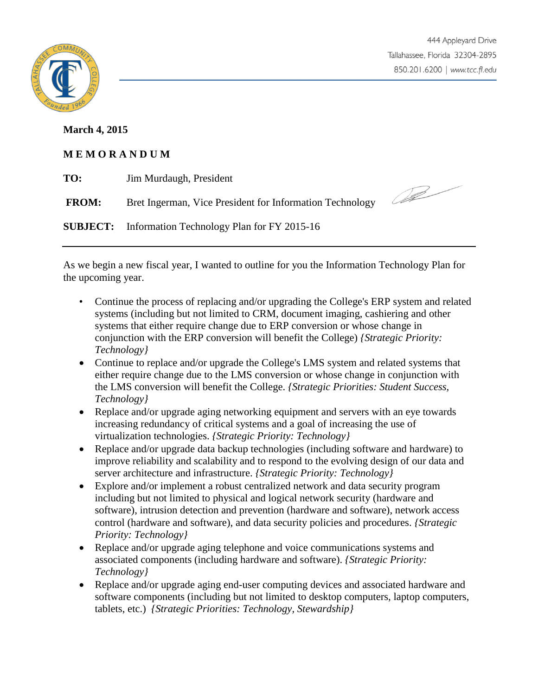

## **March 4, 2015**

## **M E M O R A N D U M**

| TO:          | Jim Murdaugh, President                                    |  |
|--------------|------------------------------------------------------------|--|
| <b>FROM:</b> | Bret Ingerman, Vice President for Information Technology   |  |
|              | <b>SUBJECT:</b> Information Technology Plan for FY 2015-16 |  |

As we begin a new fiscal year, I wanted to outline for you the Information Technology Plan for the upcoming year.

- Continue the process of replacing and/or upgrading the College's ERP system and related systems (including but not limited to CRM, document imaging, cashiering and other systems that either require change due to ERP conversion or whose change in conjunction with the ERP conversion will benefit the College) *{Strategic Priority: Technology}*
- Continue to replace and/or upgrade the College's LMS system and related systems that either require change due to the LMS conversion or whose change in conjunction with the LMS conversion will benefit the College. *{Strategic Priorities: Student Success, Technology}*
- Replace and/or upgrade aging networking equipment and servers with an eye towards increasing redundancy of critical systems and a goal of increasing the use of virtualization technologies. *{Strategic Priority: Technology}*
- Replace and/or upgrade data backup technologies (including software and hardware) to improve reliability and scalability and to respond to the evolving design of our data and server architecture and infrastructure. *{Strategic Priority: Technology}*
- Explore and/or implement a robust centralized network and data security program including but not limited to physical and logical network security (hardware and software), intrusion detection and prevention (hardware and software), network access control (hardware and software), and data security policies and procedures. *{Strategic Priority: Technology}*
- Replace and/or upgrade aging telephone and voice communications systems and associated components (including hardware and software). *{Strategic Priority: Technology}*
- Replace and/or upgrade aging end-user computing devices and associated hardware and software components (including but not limited to desktop computers, laptop computers, tablets, etc.) *{Strategic Priorities: Technology, Stewardship}*